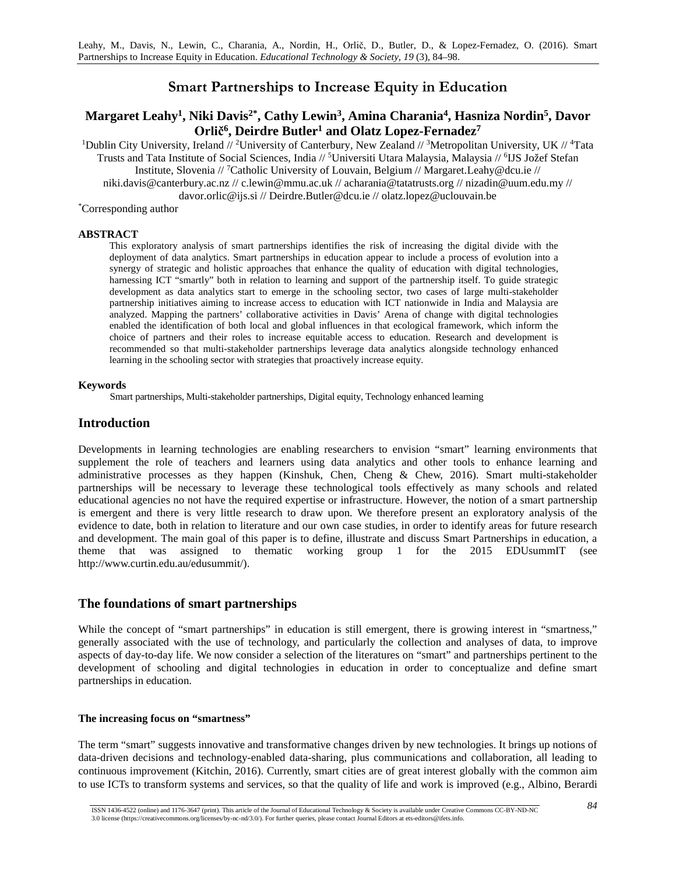# **Smart Partnerships to Increase Equity in Education**

# **Margaret Leahy1, Niki Davis2\*, Cathy Lewin3, Amina Charania4, Hasniza Nordin5, Davor Orlič6, Deirdre Butler1 and Olatz Lopez-Fernadez7**

<sup>1</sup>Dublin City University, Ireland // <sup>2</sup>University of Canterbury, New Zealand // <sup>3</sup>Metropolitan University, UK // <sup>4</sup>Tata Trusts and Tata Institute of Social Sciences, India // 5 Universiti Utara Malaysia, Malaysia // 6 IJS Jožef Stefan Institute, Slovenia // 7 Catholic University of Louvain, Belgium // Margaret.Leahy@dcu.ie // niki.davis@canterbury.ac.nz // c.lewin@mmu.ac.uk // acharania@tatatrusts.org // nizadin@uum.edu.my //

davor.orlic@ijs.si // Deirdre.Butler@dcu.ie // olatz.lopez@uclouvain.be

\* Corresponding author

#### **ABSTRACT**

This exploratory analysis of smart partnerships identifies the risk of increasing the digital divide with the deployment of data analytics. Smart partnerships in education appear to include a process of evolution into a synergy of strategic and holistic approaches that enhance the quality of education with digital technologies, harnessing ICT "smartly" both in relation to learning and support of the partnership itself. To guide strategic development as data analytics start to emerge in the schooling sector, two cases of large multi-stakeholder partnership initiatives aiming to increase access to education with ICT nationwide in India and Malaysia are analyzed. Mapping the partners' collaborative activities in Davis' Arena of change with digital technologies enabled the identification of both local and global influences in that ecological framework, which inform the choice of partners and their roles to increase equitable access to education. Research and development is recommended so that multi-stakeholder partnerships leverage data analytics alongside technology enhanced learning in the schooling sector with strategies that proactively increase equity.

#### **Keywords**

Smart partnerships, Multi-stakeholder partnerships, Digital equity, Technology enhanced learning

## **Introduction**

Developments in learning technologies are enabling researchers to envision "smart" learning environments that supplement the role of teachers and learners using data analytics and other tools to enhance learning and administrative processes as they happen (Kinshuk, Chen, Cheng & Chew, 2016). Smart multi-stakeholder partnerships will be necessary to leverage these technological tools effectively as many schools and related educational agencies no not have the required expertise or infrastructure. However, the notion of a smart partnership is emergent and there is very little research to draw upon. We therefore present an exploratory analysis of the evidence to date, both in relation to literature and our own case studies, in order to identify areas for future research and development. The main goal of this paper is to define, illustrate and discuss Smart Partnerships in education, a theme that was assigned to thematic working group 1 for the 2015 EDUsummIT (see http://www.curtin.edu.au/edusummit/).

### **The foundations of smart partnerships**

While the concept of "smart partnerships" in education is still emergent, there is growing interest in "smartness," generally associated with the use of technology, and particularly the collection and analyses of data, to improve aspects of day-to-day life. We now consider a selection of the literatures on "smart" and partnerships pertinent to the development of schooling and digital technologies in education in order to conceptualize and define smart partnerships in education.

#### **The increasing focus on "smartness"**

The term "smart" suggests innovative and transformative changes driven by new technologies. It brings up notions of data-driven decisions and technology-enabled data-sharing, plus communications and collaboration, all leading to continuous improvement (Kitchin, 2016). Currently, smart cities are of great interest globally with the common aim to use ICTs to transform systems and services, so that the quality of life and work is improved (e.g., Albino, Berardi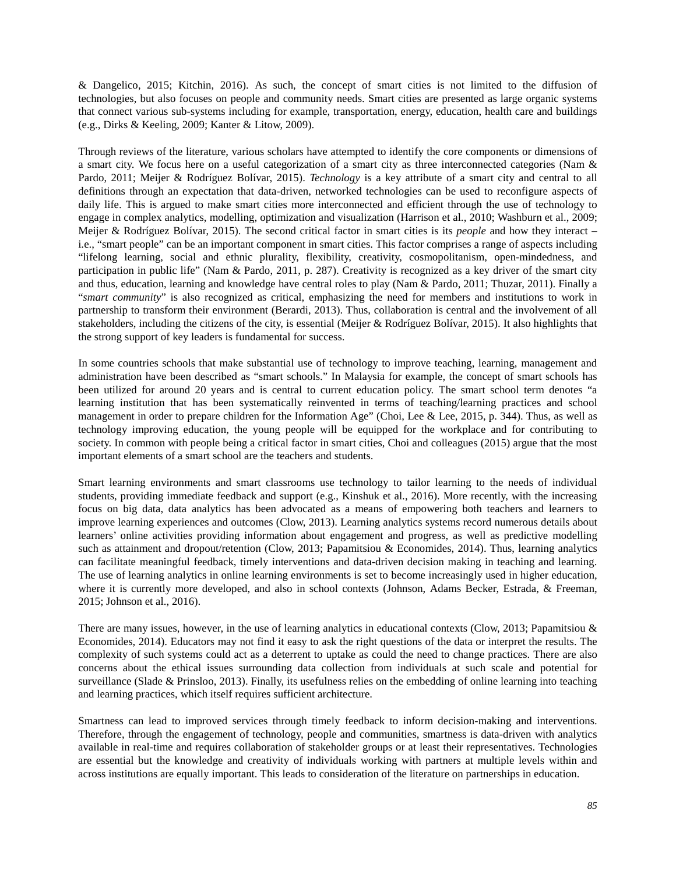& Dangelico, 2015; Kitchin, 2016). As such, the concept of smart cities is not limited to the diffusion of technologies, but also focuses on people and community needs. Smart cities are presented as large organic systems that connect various sub-systems including for example, transportation, energy, education, health care and buildings (e.g., Dirks & Keeling, 2009; Kanter & Litow, 2009).

Through reviews of the literature, various scholars have attempted to identify the core components or dimensions of a smart city. We focus here on a useful categorization of a smart city as three interconnected categories (Nam & Pardo, 2011; Meijer & Rodríguez Bolívar, 2015). *Technology* is a key attribute of a smart city and central to all definitions through an expectation that data-driven, networked technologies can be used to reconfigure aspects of daily life. This is argued to make smart cities more interconnected and efficient through the use of technology to engage in complex analytics, modelling, optimization and visualization (Harrison et al., 2010; Washburn et al., 2009; Meijer & Rodríguez Bolívar, 2015). The second critical factor in smart cities is its *people* and how they interact – i.e., "smart people" can be an important component in smart cities. This factor comprises a range of aspects including "lifelong learning, social and ethnic plurality, flexibility, creativity, cosmopolitanism, open-mindedness, and participation in public life" (Nam & Pardo, 2011, p. 287). Creativity is recognized as a key driver of the smart city and thus, education, learning and knowledge have central roles to play (Nam & Pardo, 2011; Thuzar, 2011). Finally a "*smart community*" is also recognized as critical, emphasizing the need for members and institutions to work in partnership to transform their environment (Berardi, 2013). Thus, collaboration is central and the involvement of all stakeholders, including the citizens of the city, is essential (Meijer & Rodríguez Bolívar, 2015). It also highlights that the strong support of key leaders is fundamental for success.

In some countries schools that make substantial use of technology to improve teaching, learning, management and administration have been described as "smart schools." In Malaysia for example, the concept of smart schools has been utilized for around 20 years and is central to current education policy. The smart school term denotes "a learning institution that has been systematically reinvented in terms of teaching/learning practices and school management in order to prepare children for the Information Age" (Choi, Lee & Lee, 2015, p. 344). Thus, as well as technology improving education, the young people will be equipped for the workplace and for contributing to society. In common with people being a critical factor in smart cities, Choi and colleagues (2015) argue that the most important elements of a smart school are the teachers and students.

Smart learning environments and smart classrooms use technology to tailor learning to the needs of individual students, providing immediate feedback and support (e.g., Kinshuk et al., 2016). More recently, with the increasing focus on big data, data analytics has been advocated as a means of empowering both teachers and learners to improve learning experiences and outcomes (Clow, 2013). Learning analytics systems record numerous details about learners' online activities providing information about engagement and progress, as well as predictive modelling such as attainment and dropout/retention (Clow, 2013; Papamitsiou & Economides, 2014). Thus, learning analytics can facilitate meaningful feedback, timely interventions and data-driven decision making in teaching and learning. The use of learning analytics in online learning environments is set to become increasingly used in higher education, where it is currently more developed, and also in school contexts (Johnson, Adams Becker, Estrada, & Freeman, 2015; Johnson et al., 2016).

There are many issues, however, in the use of learning analytics in educational contexts (Clow, 2013; Papamitsiou & Economides, 2014). Educators may not find it easy to ask the right questions of the data or interpret the results. The complexity of such systems could act as a deterrent to uptake as could the need to change practices. There are also concerns about the ethical issues surrounding data collection from individuals at such scale and potential for surveillance (Slade & Prinsloo, 2013). Finally, its usefulness relies on the embedding of online learning into teaching and learning practices, which itself requires sufficient architecture.

Smartness can lead to improved services through timely feedback to inform decision-making and interventions. Therefore, through the engagement of technology, people and communities, smartness is data-driven with analytics available in real-time and requires collaboration of stakeholder groups or at least their representatives. Technologies are essential but the knowledge and creativity of individuals working with partners at multiple levels within and across institutions are equally important. This leads to consideration of the literature on partnerships in education.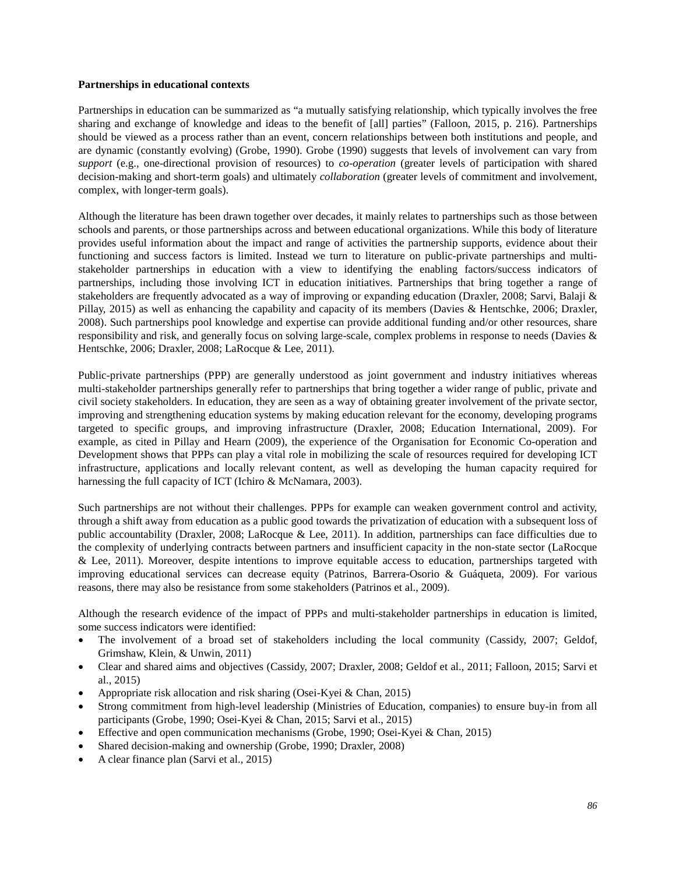#### **Partnerships in educational contexts**

Partnerships in education can be summarized as "a mutually satisfying relationship, which typically involves the free sharing and exchange of knowledge and ideas to the benefit of [all] parties" (Falloon, 2015, p. 216). Partnerships should be viewed as a process rather than an event, concern relationships between both institutions and people, and are dynamic (constantly evolving) (Grobe, 1990). Grobe (1990) suggests that levels of involvement can vary from *support* (e.g., one-directional provision of resources) to *co-operation* (greater levels of participation with shared decision-making and short-term goals) and ultimately *collaboration* (greater levels of commitment and involvement, complex, with longer-term goals).

Although the literature has been drawn together over decades, it mainly relates to partnerships such as those between schools and parents, or those partnerships across and between educational organizations. While this body of literature provides useful information about the impact and range of activities the partnership supports, evidence about their functioning and success factors is limited. Instead we turn to literature on public-private partnerships and multistakeholder partnerships in education with a view to identifying the enabling factors/success indicators of partnerships, including those involving ICT in education initiatives. Partnerships that bring together a range of stakeholders are frequently advocated as a way of improving or expanding education (Draxler, 2008; Sarvi, Balaji & Pillay, 2015) as well as enhancing the capability and capacity of its members (Davies & Hentschke, 2006; Draxler, 2008). Such partnerships pool knowledge and expertise can provide additional funding and/or other resources, share responsibility and risk, and generally focus on solving large-scale, complex problems in response to needs (Davies & Hentschke, 2006; Draxler, 2008; LaRocque & Lee, 2011).

Public-private partnerships (PPP) are generally understood as joint government and industry initiatives whereas multi-stakeholder partnerships generally refer to partnerships that bring together a wider range of public, private and civil society stakeholders. In education, they are seen as a way of obtaining greater involvement of the private sector, improving and strengthening education systems by making education relevant for the economy, developing programs targeted to specific groups, and improving infrastructure (Draxler, 2008; Education International, 2009). For example, as cited in Pillay and Hearn (2009), the experience of the Organisation for Economic Co-operation and Development shows that PPPs can play a vital role in mobilizing the scale of resources required for developing ICT infrastructure, applications and locally relevant content, as well as developing the human capacity required for harnessing the full capacity of ICT (Ichiro & McNamara, 2003).

Such partnerships are not without their challenges. PPPs for example can weaken government control and activity, through a shift away from education as a public good towards the privatization of education with a subsequent loss of public accountability (Draxler, 2008; LaRocque & Lee, 2011). In addition, partnerships can face difficulties due to the complexity of underlying contracts between partners and insufficient capacity in the non-state sector (LaRocque & Lee, 2011). Moreover, despite intentions to improve equitable access to education, partnerships targeted with improving educational services can decrease equity (Patrinos, Barrera-Osorio & Guáqueta, 2009). For various reasons, there may also be resistance from some stakeholders (Patrinos et al., 2009).

Although the research evidence of the impact of PPPs and multi-stakeholder partnerships in education is limited, some success indicators were identified:

- The involvement of a broad set of stakeholders including the local community (Cassidy, 2007; Geldof, Grimshaw, Klein, & Unwin, 2011)
- Clear and shared aims and objectives (Cassidy, 2007; Draxler, 2008; Geldof et al., 2011; Falloon, 2015; Sarvi et al., 2015)
- Appropriate risk allocation and risk sharing (Osei-Kyei & Chan, 2015)
- Strong commitment from high-level leadership (Ministries of Education, companies) to ensure buy-in from all participants (Grobe, 1990; Osei-Kyei & Chan, 2015; Sarvi et al., 2015)
- Effective and open communication mechanisms (Grobe, 1990; Osei-Kyei & Chan, 2015)
- Shared decision-making and ownership (Grobe, 1990; Draxler, 2008)
- A clear finance plan (Sarvi et al., 2015)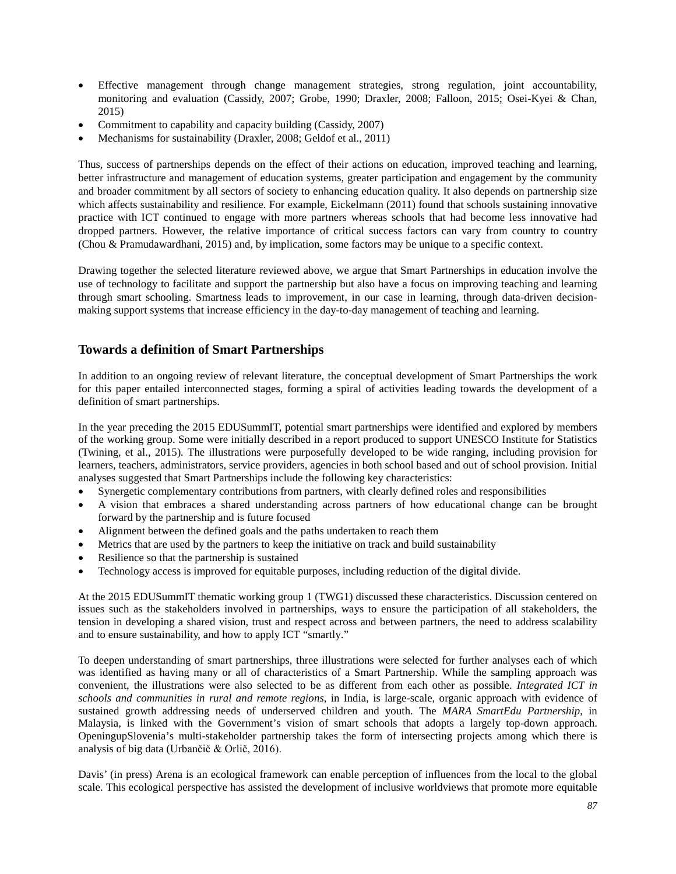- Effective management through change management strategies, strong regulation, joint accountability, monitoring and evaluation (Cassidy, 2007; Grobe, 1990; Draxler, 2008; Falloon, 2015; Osei-Kyei & Chan, 2015)
- Commitment to capability and capacity building (Cassidy, 2007)
- Mechanisms for sustainability (Draxler, 2008; Geldof et al., 2011)

Thus, success of partnerships depends on the effect of their actions on education, improved teaching and learning, better infrastructure and management of education systems, greater participation and engagement by the community and broader commitment by all sectors of society to enhancing education quality. It also depends on partnership size which affects sustainability and resilience. For example, Eickelmann (2011) found that schools sustaining innovative practice with ICT continued to engage with more partners whereas schools that had become less innovative had dropped partners. However, the relative importance of critical success factors can vary from country to country (Chou & Pramudawardhani, 2015) and, by implication, some factors may be unique to a specific context.

Drawing together the selected literature reviewed above, we argue that Smart Partnerships in education involve the use of technology to facilitate and support the partnership but also have a focus on improving teaching and learning through smart schooling. Smartness leads to improvement, in our case in learning, through data-driven decisionmaking support systems that increase efficiency in the day-to-day management of teaching and learning.

# **Towards a definition of Smart Partnerships**

In addition to an ongoing review of relevant literature, the conceptual development of Smart Partnerships the work for this paper entailed interconnected stages, forming a spiral of activities leading towards the development of a definition of smart partnerships.

In the year preceding the 2015 EDUSummIT, potential smart partnerships were identified and explored by members of the working group. Some were initially described in a report produced to support UNESCO Institute for Statistics [\(Twining, et al., 2015\)](http://www.uis.unesco.org/StatisticalCapacityBuilding/Workshop%20Documents/Communication%20workshop%20dox/Paris%202014/ICT-infrastructure-schools-EN.pdf)*.* The illustrations were purposefully developed to be wide ranging, including provision for learners, teachers, administrators, service providers, agencies in both school based and out of school provision. Initial analyses suggested that Smart Partnerships include the following key characteristics:

- Synergetic complementary contributions from partners, with clearly defined roles and responsibilities
- A vision that embraces a shared understanding across partners of how educational change can be brought forward by the partnership and is future focused
- Alignment between the defined goals and the paths undertaken to reach them
- Metrics that are used by the partners to keep the initiative on track and build sustainability
- Resilience so that the partnership is sustained
- Technology access is improved for equitable purposes, including reduction of the digital divide.

At the 2015 EDUSummIT thematic working group 1 (TWG1) discussed these characteristics. Discussion centered on issues such as the stakeholders involved in partnerships, ways to ensure the participation of all stakeholders, the tension in developing a shared vision, trust and respect across and between partners, the need to address scalability and to ensure sustainability, and how to apply ICT "smartly."

To deepen understanding of smart partnerships, three illustrations were selected for further analyses each of which was identified as having many or all of characteristics of a Smart Partnership. While the sampling approach was convenient, the illustrations were also selected to be as different from each other as possible. *Integrated ICT in schools and communities in rural and remote regions*, in India, is large-scale, organic approach with evidence of sustained growth addressing needs of underserved children and youth. The *MARA SmartEdu Partnership*, in Malaysia, is linked with the Government's vision of smart schools that adopts a largely top-down approach. OpeningupSlovenia's multi-stakeholder partnership takes the form of intersecting projects among which there is analysis of big data (Urbančič & Orlič, 2016).

Davis' (in press) Arena is an ecological framework can enable perception of influences from the local to the global scale. This ecological perspective has assisted the development of inclusive worldviews that promote more equitable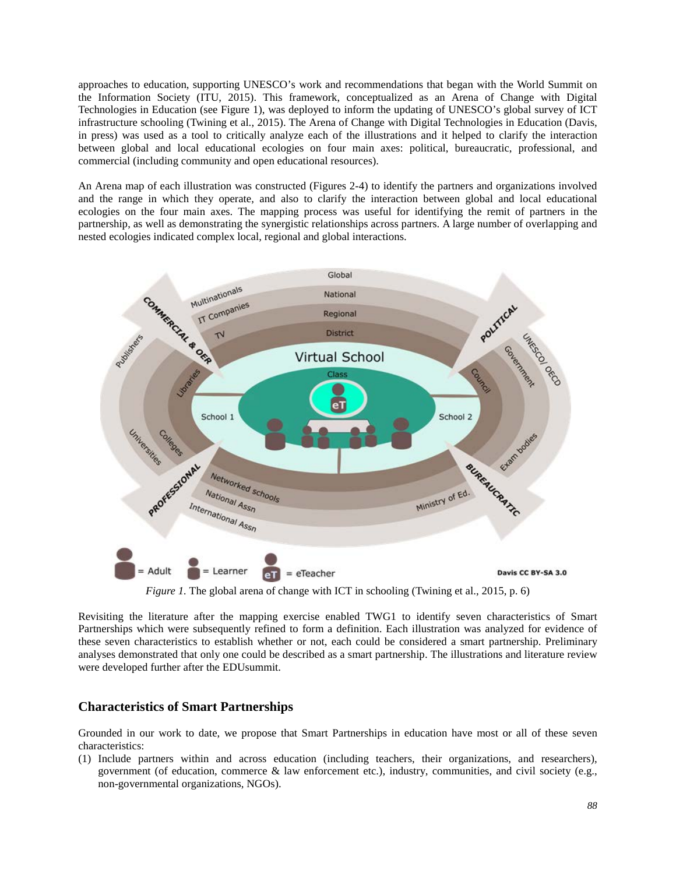approaches to education, supporting UNESCO's work and recommendations that began with the World Summit on the Information Society (ITU, 2015). This framework, conceptualized as an Arena of Change with Digital Technologies in Education (see Figure 1), was deployed to inform the updating of UNESCO's global survey of ICT infrastructure schooling (Twining et al., 2015). The Arena of Change with Digital Technologies in Education (Davis, in press) was used as a tool to critically analyze each of the illustrations and it helped to clarify the interaction between global and local educational ecologies on four main axes: political, bureaucratic, professional, and commercial (including community and open educational resources).

An Arena map of each illustration was constructed (Figures 2-4) to identify the partners and organizations involved and the range in which they operate, and also to clarify the interaction between global and local educational ecologies on the four main axes. The mapping process was useful for identifying the remit of partners in the partnership, as well as demonstrating the synergistic relationships across partners. A large number of overlapping and nested ecologies indicated complex local, regional and global interactions.



*Figure 1.* The global arena of change with ICT in schooling (Twining et al., 2015, p. 6)

Revisiting the literature after the mapping exercise enabled TWG1 to identify seven characteristics of Smart Partnerships which were subsequently refined to form a definition. Each illustration was analyzed for evidence of these seven characteristics to establish whether or not, each could be considered a smart partnership. Preliminary analyses demonstrated that only one could be described as a smart partnership. The illustrations and literature review were developed further after the EDUsummit.

# **Characteristics of Smart Partnerships**

Grounded in our work to date, we propose that Smart Partnerships in education have most or all of these seven characteristics:

(1) Include partners within and across education (including teachers, their organizations, and researchers), government (of education, commerce & law enforcement etc.), industry, communities, and civil society (e.g., non-governmental organizations, NGOs).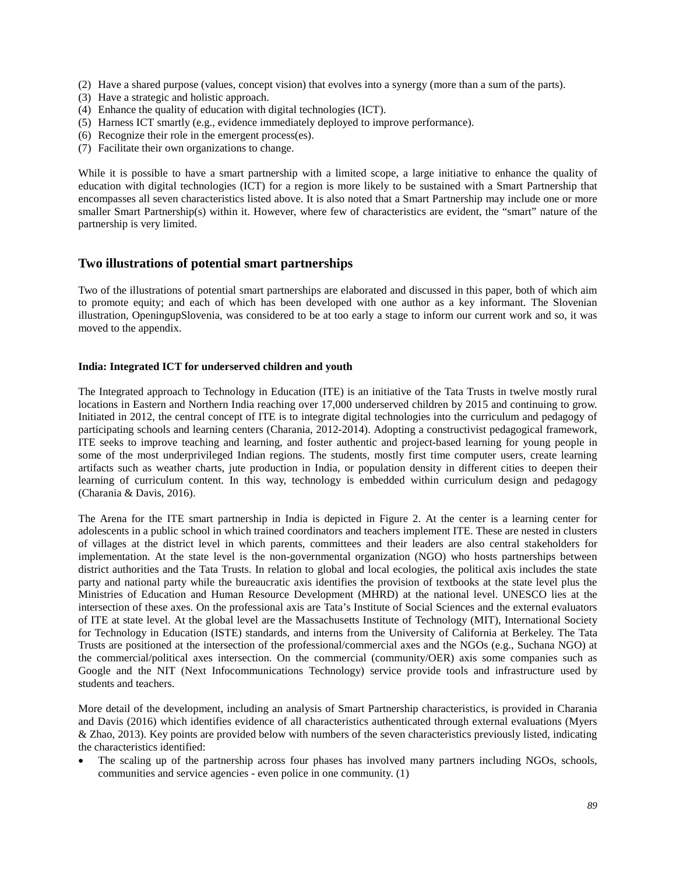- (2) Have a shared purpose (values, concept vision) that evolves into a synergy (more than a sum of the parts).
- (3) Have a strategic and holistic approach.
- (4) Enhance the quality of education with digital technologies (ICT).
- (5) Harness ICT smartly (e.g., evidence immediately deployed to improve performance).
- (6) Recognize their role in the emergent process(es).
- (7) Facilitate their own organizations to change.

While it is possible to have a smart partnership with a limited scope, a large initiative to enhance the quality of education with digital technologies (ICT) for a region is more likely to be sustained with a Smart Partnership that encompasses all seven characteristics listed above. It is also noted that a Smart Partnership may include one or more smaller Smart Partnership(s) within it. However, where few of characteristics are evident, the "smart" nature of the partnership is very limited.

### **Two illustrations of potential smart partnerships**

Two of the illustrations of potential smart partnerships are elaborated and discussed in this paper, both of which aim to promote equity; and each of which has been developed with one author as a key informant. The Slovenian illustration, OpeningupSlovenia, was considered to be at too early a stage to inform our current work and so, it was moved to the appendix.

#### **India: Integrated ICT for underserved children and youth**

The Integrated approach to Technology in Education (ITE) is an initiative of the Tata Trusts in twelve mostly rural locations in Eastern and Northern India reaching over 17,000 underserved children by 2015 and continuing to grow. Initiated in 2012, the central concept of ITE is to integrate digital technologies into the curriculum and pedagogy of participating schools and learning centers (Charania, 2012-2014). Adopting a constructivist pedagogical framework, ITE seeks to improve teaching and learning, and foster authentic and project-based learning for young people in some of the most underprivileged Indian regions. The students, mostly first time computer users, create learning artifacts such as weather charts, jute production in India, or population density in different cities to deepen their learning of curriculum content. In this way, technology is embedded within curriculum design and pedagogy (Charania & Davis, 2016).

The Arena for the ITE smart partnership in India is depicted in Figure 2. At the center is a learning center for adolescents in a public school in which trained coordinators and teachers implement ITE. These are nested in clusters of villages at the district level in which parents, committees and their leaders are also central stakeholders for implementation. At the state level is the non-governmental organization (NGO) who hosts partnerships between district authorities and the Tata Trusts. In relation to global and local ecologies, the political axis includes the state party and national party while the bureaucratic axis identifies the provision of textbooks at the state level plus the Ministries of Education and Human Resource Development (MHRD) at the national level. UNESCO lies at the intersection of these axes. On the professional axis are Tata's Institute of Social Sciences and the external evaluators of ITE at state level. At the global level are the Massachusetts Institute of Technology (MIT), International Society for Technology in Education (ISTE) standards, and interns from the University of California at Berkeley. The Tata Trusts are positioned at the intersection of the professional/commercial axes and the NGOs (e.g., Suchana NGO) at the commercial/political axes intersection. On the commercial (community/OER) axis some companies such as Google and the NIT (Next Infocommunications Technology) service provide tools and infrastructure used by students and teachers.

More detail of the development, including an analysis of Smart Partnership characteristics, is provided in Charania and Davis (2016) which identifies evidence of all characteristics authenticated through external evaluations (Myers & Zhao, 2013). Key points are provided below with numbers of the seven characteristics previously listed, indicating the characteristics identified:

The scaling up of the partnership across four phases has involved many partners including NGOs, schools, communities and service agencies - even police in one community. (1)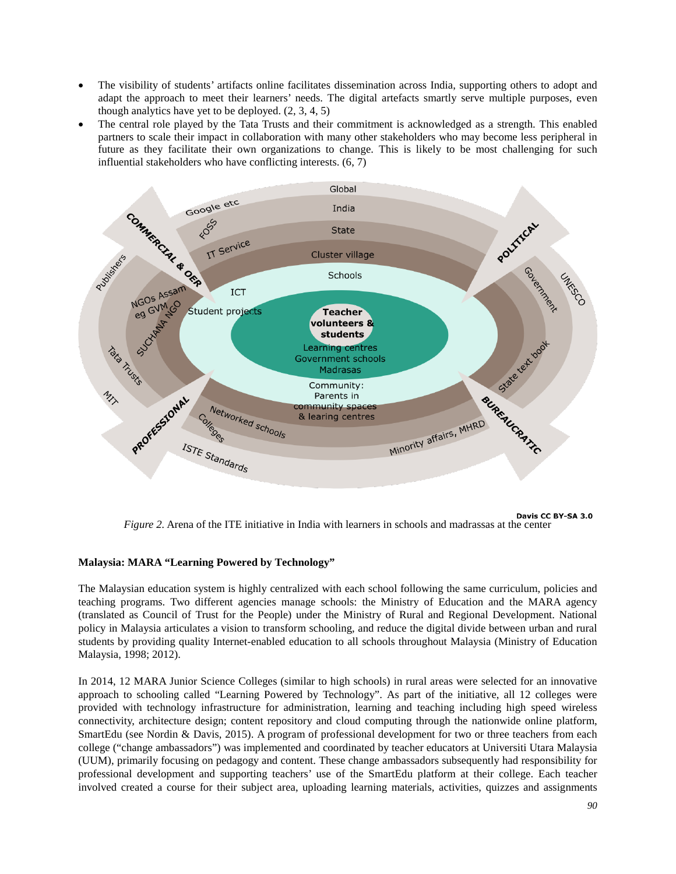- The visibility of students' artifacts online facilitates dissemination across India, supporting others to adopt and adapt the approach to meet their learners' needs. The digital artefacts smartly serve multiple purposes, even though analytics have yet to be deployed. (2, 3, 4, 5)
- The central role played by the Tata Trusts and their commitment is acknowledged as a strength. This enabled partners to scale their impact in collaboration with many other stakeholders who may become less peripheral in future as they facilitate their own organizations to change. This is likely to be most challenging for such influential stakeholders who have conflicting interests. (6, 7)



Davis CC BY-SA 3.0 *Figure 2.* Arena of the ITE initiative in India with learners in schools and madrassas at the center

### **Malaysia: MARA "Learning Powered by Technology"**

The Malaysian education system is highly centralized with each school following the same curriculum, policies and teaching programs. Two different agencies manage schools: the Ministry of Education and the MARA agency (translated as Council of Trust for the People) under the Ministry of Rural and Regional Development. National policy in Malaysia articulates a vision to transform schooling, and reduce the digital divide between urban and rural students by providing quality Internet-enabled education to all schools throughout Malaysia (Ministry of Education Malaysia, 1998; 2012).

In 2014, 12 MARA Junior Science Colleges (similar to high schools) in rural areas were selected for an innovative approach to schooling called "Learning Powered by Technology". As part of the initiative, all 12 colleges were provided with technology infrastructure for administration, learning and teaching including high speed wireless connectivity, architecture design; content repository and cloud computing through the nationwide online platform, SmartEdu (see [N](http://www.uis.unesco.org/StatisticalCapacityBuilding/Workshop%20Documents/Communication%20workshop%20dox/Paris%202014/ICT-infrastructure-schools-EN.pdf)ordin & Davis, 2015). A program of professional development for two or three teachers from each college ("change ambassadors") was implemented and coordinated by teacher educators at Universiti Utara Malaysia (UUM), primarily focusing on pedagogy and content. These change ambassadors subsequently had responsibility for professional development and supporting teachers' use of the SmartEdu platform at their college. Each teacher involved created a course for their subject area, uploading learning materials, activities, quizzes and assignments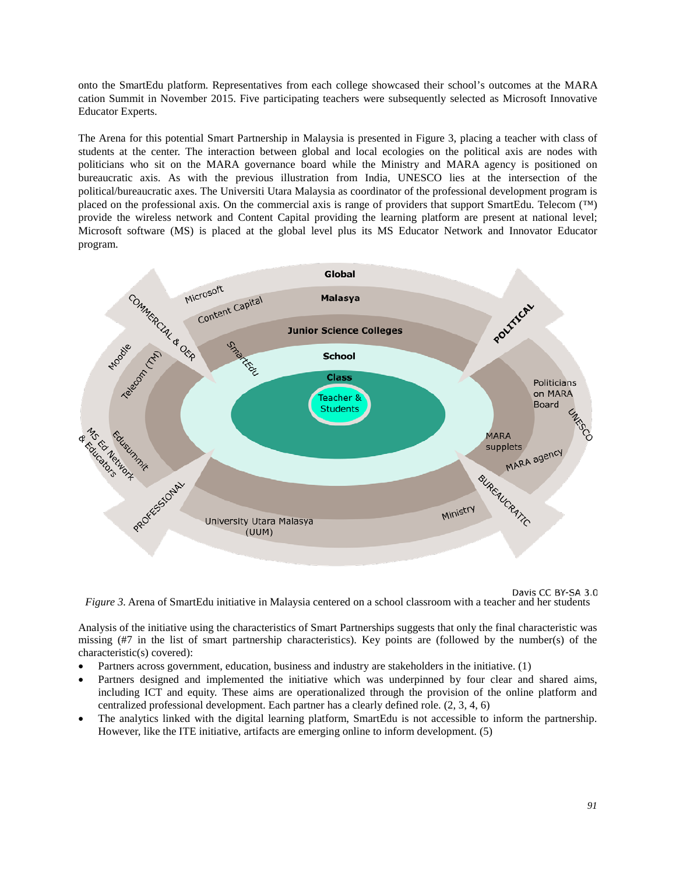onto the SmartEdu platform. Representatives from each college showcased their school's outcomes at the MARA cation Summit in November 2015. Five participating teachers were subsequently selected as Microsoft Innovative Educator Experts.

The Arena for this potential Smart Partnership in Malaysia is presented in Figure 3, placing a teacher with class of students at the center. The interaction between global and local ecologies on the political axis are nodes with politicians who sit on the MARA governance board while the Ministry and MARA agency is positioned on bureaucratic axis. As with the previous illustration from India, UNESCO lies at the intersection of the political/bureaucratic axes. The Universiti Utara Malaysia as coordinator of the professional development program is placed on the professional axis. On the commercial axis is range of providers that support SmartEdu. Telecom (™) provide the wireless network and Content Capital providing the learning platform are present at national level; Microsoft software (MS) is placed at the global level plus its MS Educator Network and Innovator Educator program.



Davis CC BY-SA 3.0 *Figure 3.* Arena of SmartEdu initiative in Malaysia centered on a school classroom with a teacher and her students

Analysis of the initiative using the characteristics of Smart Partnerships suggests that only the final characteristic was missing (#7 in the list of smart partnership characteristics). Key points are (followed by the number(s) of the

characteristic(s) covered): • Partners across government, education, business and industry are stakeholders in the initiative. (1)

- Partners designed and implemented the initiative which was underpinned by four clear and shared aims, including ICT and equity. These aims are operationalized through the provision of the online platform and centralized professional development. Each partner has a clearly defined role. (2, 3, 4, 6)
- The analytics linked with the digital learning platform, SmartEdu is not accessible to inform the partnership. However, like the ITE initiative, artifacts are emerging online to inform development. (5)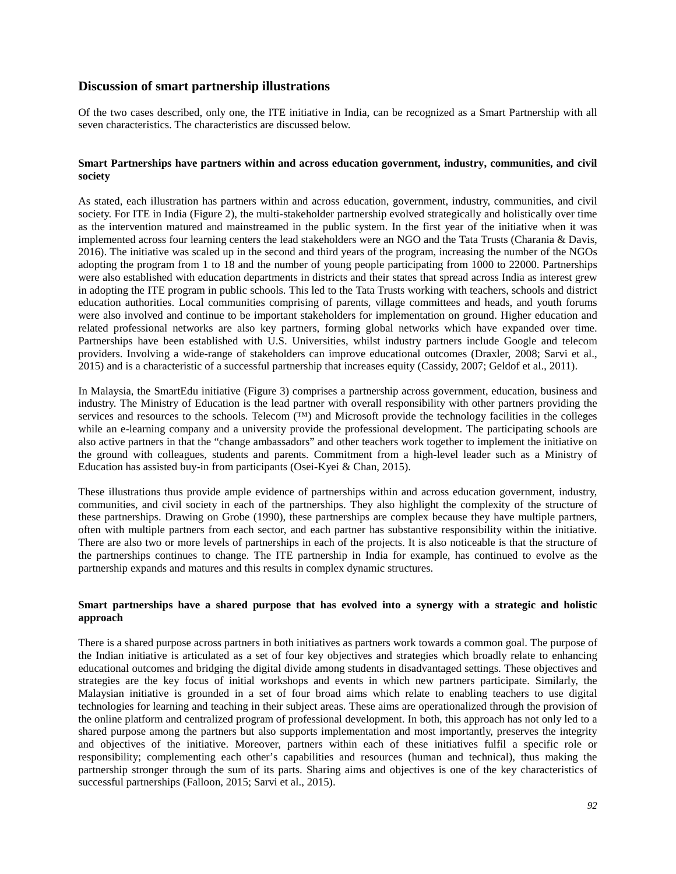## **Discussion of smart partnership illustrations**

Of the two cases described, only one, the ITE initiative in India, can be recognized as a Smart Partnership with all seven characteristics. The characteristics are discussed below.

#### **Smart Partnerships have partners within and across education government, industry, communities, and civil society**

As stated, each illustration has partners within and across education, government, industry, communities, and civil society. For ITE in India (Figure 2), the multi-stakeholder partnership evolved strategically and holistically over time as the intervention matured and mainstreamed in the public system. In the first year of the initiative when it was implemented across four learning centers the lead stakeholders were an NGO and the Tata Trusts (Charania & Davis, 2016). The initiative was scaled up in the second and third years of the program, increasing the number of the NGOs adopting the program from 1 to 18 and the number of young people participating from 1000 to 22000. Partnerships were also established with education departments in districts and their states that spread across India as interest grew in adopting the ITE program in public schools. This led to the Tata Trusts working with teachers, schools and district education authorities. Local communities comprising of parents, village committees and heads, and youth forums were also involved and continue to be important stakeholders for implementation on ground. Higher education and related professional networks are also key partners, forming global networks which have expanded over time. Partnerships have been established with U.S. Universities, whilst industry partners include Google and telecom providers. Involving a wide-range of stakeholders can improve educational outcomes (Draxler, 2008; Sarvi et al., 2015) and is a characteristic of a successful partnership that increases equity (Cassidy, 2007; Geldof et al., 2011).

In Malaysia, the SmartEdu initiative (Figure 3) comprises a partnership across government, education, business and industry. The Ministry of Education is the lead partner with overall responsibility with other partners providing the services and resources to the schools. Telecom (™) and Microsoft provide the technology facilities in the colleges while an e-learning company and a university provide the professional development. The participating schools are also active partners in that the "change ambassadors" and other teachers work together to implement the initiative on the ground with colleagues, students and parents. Commitment from a high-level leader such as a Ministry of Education has assisted buy-in from participants (Osei-Kyei & Chan, 2015).

These illustrations thus provide ample evidence of partnerships within and across education government, industry, communities, and civil society in each of the partnerships. They also highlight the complexity of the structure of these partnerships. Drawing on Grobe (1990), these partnerships are complex because they have multiple partners, often with multiple partners from each sector, and each partner has substantive responsibility within the initiative. There are also two or more levels of partnerships in each of the projects. It is also noticeable is that the structure of the partnerships continues to change. The ITE partnership in India for example, has continued to evolve as the partnership expands and matures and this results in complex dynamic structures.

#### **Smart partnerships have a shared purpose that has evolved into a synergy with a strategic and holistic approach**

There is a shared purpose across partners in both initiatives as partners work towards a common goal. The purpose of the Indian initiative is articulated as a set of four key objectives and strategies which broadly relate to enhancing educational outcomes and bridging the digital divide among students in disadvantaged settings. These objectives and strategies are the key focus of initial workshops and events in which new partners participate. Similarly, the Malaysian initiative is grounded in a set of four broad aims which relate to enabling teachers to use digital technologies for learning and teaching in their subject areas. These aims are operationalized through the provision of the online platform and centralized program of professional development. In both, this approach has not only led to a shared purpose among the partners but also supports implementation and most importantly, preserves the integrity and objectives of the initiative. Moreover, partners within each of these initiatives fulfil a specific role or responsibility; complementing each other's capabilities and resources (human and technical), thus making the partnership stronger through the sum of its parts. Sharing aims and objectives is one of the key characteristics of successful partnerships (Falloon, 2015; Sarvi et al., 2015).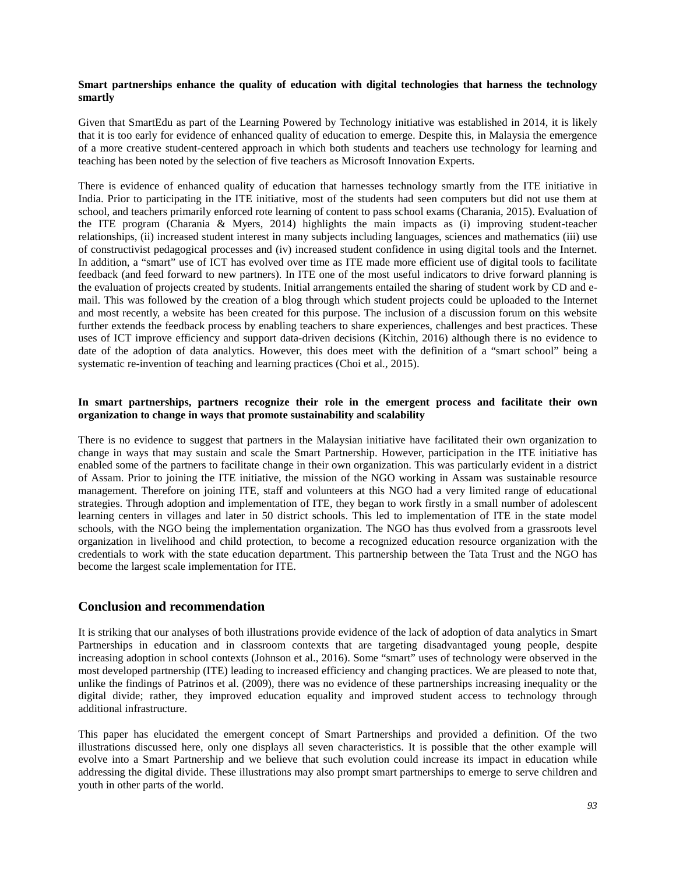#### **Smart partnerships enhance the quality of education with digital technologies that harness the technology smartly**

Given that SmartEdu as part of the Learning Powered by Technology initiative was established in 2014, it is likely that it is too early for evidence of enhanced quality of education to emerge. Despite this, in Malaysia the emergence of a more creative student-centered approach in which both students and teachers use technology for learning and teaching has been noted by the selection of five teachers as Microsoft Innovation Experts.

There is evidence of enhanced quality of education that harnesses technology smartly from the ITE initiative in India. Prior to participating in the ITE initiative, most of the students had seen computers but did not use them at school, and teachers primarily enforced rote learning of content to pass school exams (Charania, 2015). Evaluation of the ITE program (Charania & Myers, 2014) highlights the main impacts as (i) improving student-teacher relationships, (ii) increased student interest in many subjects including languages, sciences and mathematics (iii) use of constructivist pedagogical processes and (iv) increased student confidence in using digital tools and the Internet. In addition, a "smart" use of ICT has evolved over time as ITE made more efficient use of digital tools to facilitate feedback (and feed forward to new partners). In ITE one of the most useful indicators to drive forward planning is the evaluation of projects created by students. Initial arrangements entailed the sharing of student work by CD and email. This was followed by the creation of a blog through which student projects could be uploaded to the Internet and most recently, a website has been created for this purpose. The inclusion of a discussion forum on this website further extends the feedback process by enabling teachers to share experiences, challenges and best practices. These uses of ICT improve efficiency and support data-driven decisions (Kitchin, 2016) although there is no evidence to date of the adoption of data analytics. However, this does meet with the definition of a "smart school" being a systematic re-invention of teaching and learning practices (Choi et al., 2015).

#### **In smart partnerships, partners recognize their role in the emergent process and facilitate their own organization to change in ways that promote sustainability and scalability**

There is no evidence to suggest that partners in the Malaysian initiative have facilitated their own organization to change in ways that may sustain and scale the Smart Partnership. However, participation in the ITE initiative has enabled some of the partners to facilitate change in their own organization. This was particularly evident in a district of Assam. Prior to joining the ITE initiative, the mission of the NGO working in Assam was sustainable resource management. Therefore on joining ITE, staff and volunteers at this NGO had a very limited range of educational strategies. Through adoption and implementation of ITE, they began to work firstly in a small number of adolescent learning centers in villages and later in 50 district schools. This led to implementation of ITE in the state model schools, with the NGO being the implementation organization. The NGO has thus evolved from a grassroots level organization in livelihood and child protection, to become a recognized education resource organization with the credentials to work with the state education department. This partnership between the Tata Trust and the NGO has become the largest scale implementation for ITE.

# **Conclusion and recommendation**

It is striking that our analyses of both illustrations provide evidence of the lack of adoption of data analytics in Smart Partnerships in education and in classroom contexts that are targeting disadvantaged young people, despite increasing adoption in school contexts (Johnson et al., 2016). Some "smart" uses of technology were observed in the most developed partnership (ITE) leading to increased efficiency and changing practices. We are pleased to note that, unlike the findings of Patrinos et al. (2009), there was no evidence of these partnerships increasing inequality or the digital divide; rather, they improved education equality and improved student access to technology through additional infrastructure.

This paper has elucidated the emergent concept of Smart Partnerships and provided a definition. Of the two illustrations discussed here, only one displays all seven characteristics. It is possible that the other example will evolve into a Smart Partnership and we believe that such evolution could increase its impact in education while addressing the digital divide. These illustrations may also prompt smart partnerships to emerge to serve children and youth in other parts of the world.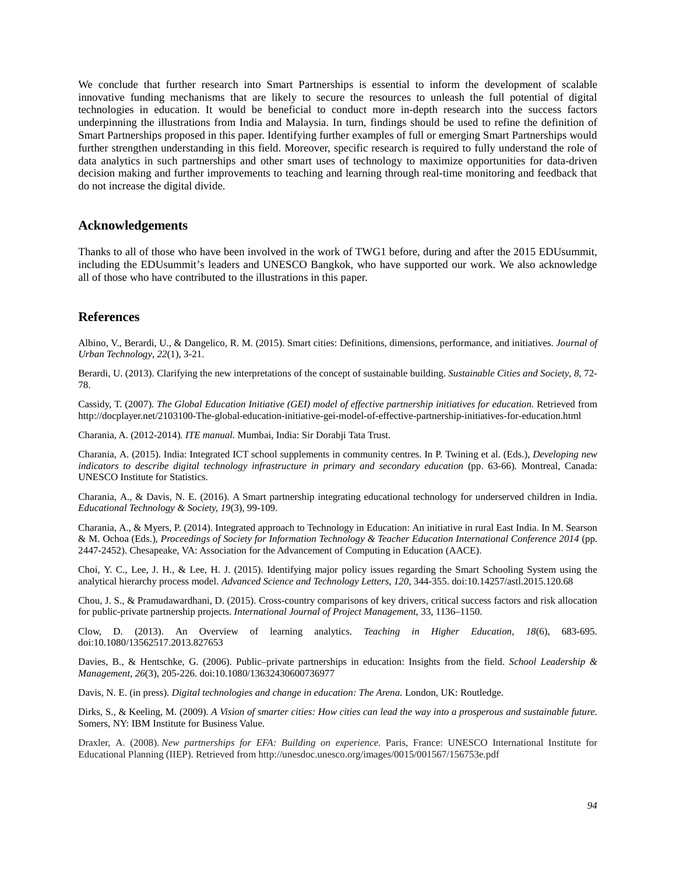We conclude that further research into Smart Partnerships is essential to inform the development of scalable innovative funding mechanisms that are likely to secure the resources to unleash the full potential of digital technologies in education. It would be beneficial to conduct more in-depth research into the success factors underpinning the illustrations from India and Malaysia. In turn, findings should be used to refine the definition of Smart Partnerships proposed in this paper. Identifying further examples of full or emerging Smart Partnerships would further strengthen understanding in this field. Moreover, specific research is required to fully understand the role of data analytics in such partnerships and other smart uses of technology to maximize opportunities for data-driven decision making and further improvements to teaching and learning through real-time monitoring and feedback that do not increase the digital divide.

### **Acknowledgements**

Thanks to all of those who have been involved in the work of TWG1 before, during and after the 2015 EDUsummit, including the EDUsummit's leaders and UNESCO Bangkok, who have supported our work. We also acknowledge all of those who have contributed to the illustrations in this paper.

### **References**

Albino, V., Berardi, U., & Dangelico, R. M. (2015). Smart cities: Definitions, dimensions, performance, and initiatives. *Journal of Urban Technology*, *22*(1), 3-21.

Berardi, U. (2013). Clarifying the new interpretations of the concept of sustainable building. *Sustainable Cities and Society*, *8*, 72- 78.

Cassidy, T. (2007). *The Global Education Initiative (GEI) model of effective partnership initiatives for education*. Retrieved fro[m](http://www.weforum.org/pdf/GEI/GEI_model.pdf) http://docplayer.net/2103100-The-global-education-initiative-gei-model-of-effective-partnership-initiatives-for-education.html

Charania, A. (2012-2014). *ITE manual.* Mumbai, India: Sir Dorabji Tata Trust.

Charania, A. (2015). India: Integrated ICT school supplements in community centres. In P. Twining et al. (Eds.[\),](http://h/) *[Developing new](http://h/)  [indicators to describe digital technology infrastructure in primary and secondary education](http://www.uis.unesco.org/StatisticalCapacityBuilding/Pages/communication-ict-paris-2014.aspx)* (pp. 63-66)*.* Montreal, Canada: UNESCO Institute for Statistics.

Charania, A., & Davis, N. E. (2016). A Smart partnership integrating educational technology for underserved children in India. *Educational Technology & Society, 19*(3), 99-109.

Charania, A., & Myers, P. (2014). Integrated approach to Technology in Education: An initiative in rural East India. In M. Searson & M. Ochoa (Eds.), *Proceedings of Society for Information Technology & Teacher Education International Conference 2014* (pp. 2447-2452). Chesapeake, VA: Association for the Advancement of Computing in Education (AACE).

Choi, Y. C., Lee, J. H., & Lee, H. J. (2015). Identifying major policy issues regarding the Smart Schooling System using the analytical hierarchy process model. *Advanced Science and Technology Letters, 120*, 344-355. doi:10.14257/astl.2015.120.68

Chou, J. S., & Pramudawardhani, D. (2015). Cross-country comparisons of key drivers, critical success factors and risk allocation for public-private partnership projects. *International Journal of Project Management*, 33, 1136–1150.

Clow, D. (2013). An Overview of learning analytics. *Teaching in Higher Education*, *18*(6), 683-695. doi:10.1080/13562517.2013.827653

Davies, B., & Hentschke, G. (2006). Public–private partnerships in education: Insights from the field. *School Leadership & Management*, *26*(3), 205-226. doi:10.1080/13632430600736977

Davis, N. E. (in press). *Digital technologies and change in education: The Arena.* London, UK: Routledge.

Dirks, S., & Keeling, M. (2009). *A Vision of smarter cities: How cities can lead the way into a prosperous and sustainable future.* Somers, NY: IBM Institute for Business Value.

Draxler, A. (2008). *New partnerships for EFA: Building on experience*. Paris, France: UNESCO International Institute for Educational Planning (IIEP). Retrieved from http://unesdoc.unesco.org/images/0015/001567/156753e.pdf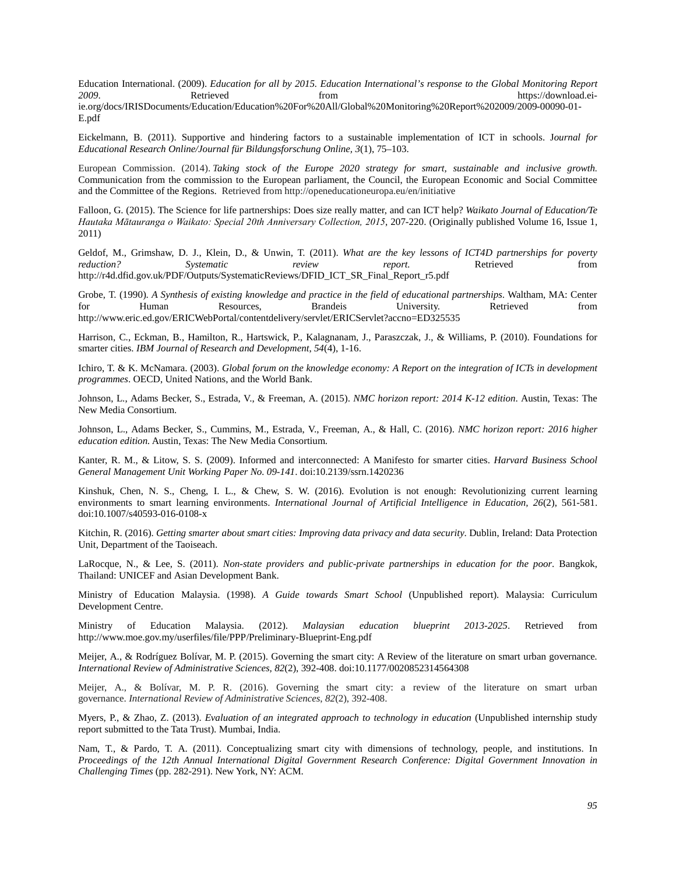Education International. (2009). *Education for all by 2015. Education International's response to the Global Monitoring Report*  https://download.eiie.org/docs/IRISDocuments/Education/Education%20For%20All/Global%20Monitoring%20Report%202009/2009-00090-01- E.pdf

Eickelmann, B. (2011). Supportive and hindering factors to a sustainable implementation of ICT in schools. J*ournal for Educational Research Online/Journal für Bildungsforschung Online, 3*(1), 75–103.

European Commission. (2014). *Taking stock of the Europe 2020 strategy for smart, sustainable and inclusive growth.*  Communication from the commission to the European parliament, the Council, the European Economic and Social Committee and the Committee of the Regions. Retrieved from http://openeducationeuropa.eu/en/initiative

Falloon, G. (2015). The Science for life partnerships: Does size really matter, and can ICT help? *Waikato Journal of Education/Te Hautaka Mātauranga o Waikato: Special 20th Anniversary Collection, 2015*, 207-220. (Originally published Volume 16, Issue 1, 2011)

Geldof, M., Grimshaw, D. J., Klein, D., & Unwin, T. (2011). *What are the key lessons of ICT4D partnerships for poverty reduction?* Systematic *review report.* Retrieved from *reduction? Systematic review report.* Retrieved from http://r4d.dfid.gov.uk/PDF/Outputs/SystematicReviews/DFID\_ICT\_SR\_Final\_Report\_r5.pdf

Grobe, T. (1990). *A Synthesis of existing knowledge and practice in the field of educational partnerships*. Waltham, MA: Center for Human Resources, Brandeis University. Retrieved from for Human Resources, Brandeis University. Retrieved fro[m](http://www.eric.ed.gov/ERICWebPortal/contentdelivery/servlet/ERICServlet?accno=ED325535) http://www.eric.ed.gov/ERICWebPortal/contentdelivery/servlet/ERICServlet?accno=ED325535

Harrison, C., Eckman, B., Hamilton, R., Hartswick, P., Kalagnanam, J., Paraszczak, J., & Williams, P. (2010). Foundations for smarter cities. *IBM Journal of Research and Development*, *54*(4), 1-16.

Ichiro, T. & K. McNamara. (2003). *Global forum on the knowledge economy: A Report on the integration of ICTs in development programmes*. OECD, United Nations, and the World Bank.

Johnson, L., Adams Becker, S., Estrada, V., & Freeman, A. (2015). *NMC horizon report: 2014 K-12 edition*. Austin, Texas: The New Media Consortium.

Johnson, L., Adams Becker, S., Cummins, M., Estrada, V., Freeman, A., & Hall, C. (2016). *NMC horizon report: 2016 higher education edition.* Austin, Texas: The New Media Consortium.

Kanter, R. M., & Litow, S. S. (2009). Informed and interconnected: A Manifesto for smarter cities. *Harvard Business School General Management Unit Working Paper No. 09-141*. doi:10.2139/ssrn.1420236

Kinshuk, Chen, N. S., Cheng, I. L., & Chew, S. W. (2016). Evolution is not enough: Revolutionizing current learning environments to smart learning environments. *International Journal of Artificial Intelligence in Education, 26*(2), 561-581. doi:10.1007/s40593-016-0108-x

Kitchin, R. (2016). *Getting smarter about smart cities: Improving data privacy and data security*. Dublin, Ireland: Data Protection Unit, Department of the Taoiseach.

LaRocque, N., & Lee, S. (2011). *Non-state providers and public-private partnerships in education for the poor*. Bangkok, Thailand: UNICEF and Asian Development Bank.

Ministry of Education Malaysia. (1998). *A Guide towards Smart School* (Unpublished report). Malaysia: Curriculum Development Centre.

Ministry of Education Malaysia. (2012). *Malaysian education blueprint 2013-2025*. Retrieved fro[m](http://www.moe.gov.my/userfiles/file/PPP/Preliminary-Blueprint-Eng.pdf) http://www.moe.gov.my/userfiles/file/PPP/Preliminary-Blueprint-Eng.pdf

Meijer, A., & Rodríguez Bolívar, M. P. (2015). Governing the smart city: A Review of the literature on smart urban governance*. International Review of Administrative Sciences, 82*(2), 392-408. doi:10.1177/0020852314564308

Meijer, A., & Bolívar, M. P. R. (2016). Governing the smart city: a review of the literature on smart urban governance. *International Review of Administrative Sciences*, *82*(2), 392-408.

Myers, P., & Zhao, Z. (2013). *Evaluation of an integrated approach to technology in education* (Unpublished internship study report submitted to the Tata Trust). Mumbai, India.

Nam, T., & Pardo, T. A. (2011). Conceptualizing smart city with dimensions of technology, people, and institutions. In *Proceedings of the 12th Annual International Digital Government Research Conference: Digital Government Innovation in Challenging Times* (pp. 282-291). New York, NY: ACM.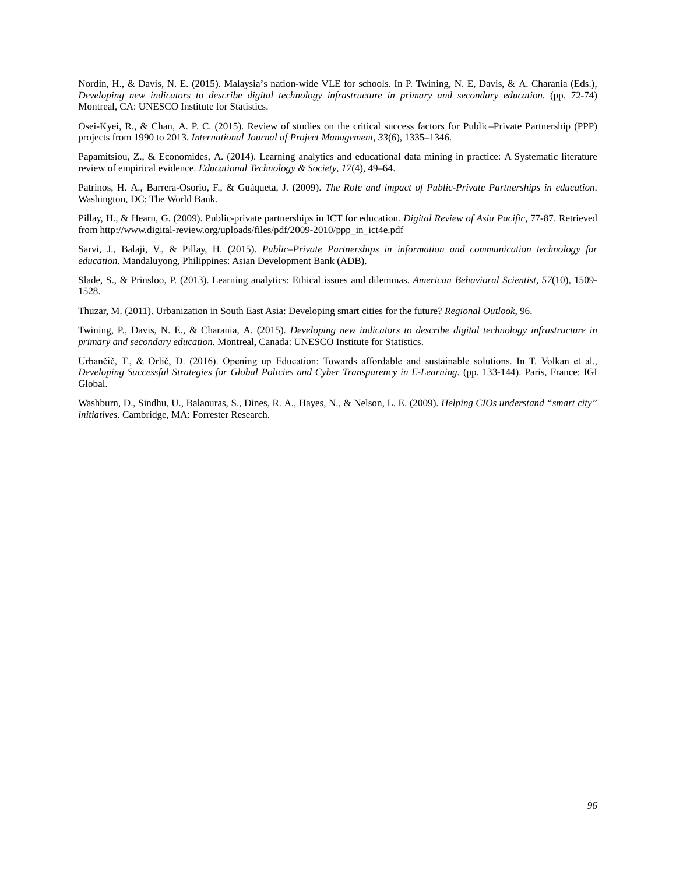Nordin, H., & Davis, N. E. (2015). Malaysia's nation-wide VLE for schools. In P. Twining, N. E, Davis, & A. Charania (Eds.)[,](http://h/) *[Developing new indicators to describe digital technology infrastructure in primary and secondary education.](http://www.uis.unesco.org/StatisticalCapacityBuilding/Pages/communication-ict-paris-2014.aspx)* (pp. 72-74) Montreal, CA: UNESCO Institute for Statistics.

Osei-Kyei, R., & Chan, A. P. C. (2015). Review of studies on the critical success factors for Public–Private Partnership (PPP) projects from 1990 to 2013. *International Journal of Project Management, 33*(6), 1335–1346.

Papamitsiou, Z., & Economides, A. (2014). Learning analytics and educational data mining in practice: A Systematic literature review of empirical evidence. *Educational Technology & Society*, *17*(4), 49–64.

Patrinos, H. A., Barrera-Osorio, F., & Guáqueta, J. (2009). *The Role and impact of Public-Private Partnerships in education*. Washington, DC: The World Bank.

Pillay, H., & Hearn, G. (2009). Public-private partnerships in ICT for education*. Digital Review of Asia Pacific*, 77-87. Retrieved fro[m](http://www.digital-review.org/uploads/files/pdf/2009-2010/ppp_in_ict4e.pdf) [http://www.digital-review.org/uploads/files/pdf/2009-2010/ppp\\_in\\_ict4e.pdf](http://www.digital-review.org/uploads/files/pdf/2009-2010/ppp_in_ict4e.pdf) 

Sarvi, J., Balaji, V., & Pillay, H. (2015). *Public–Private Partnerships in information and communication technology for education.* Mandaluyong, Philippines: Asian Development Bank (ADB).

Slade, S., & Prinsloo, P. (2013). Learning analytics: Ethical issues and dilemmas. *American Behavioral Scientist, 57*(10), 1509- 1528.

Thuzar, M. (2011). Urbanization in South East Asia: Developing smart cities for the future? *Regional Outlook*, 96.

Twining, P., Davis, N. E., & Charania, A. (2015[\).](http://h/) *Developing new indicators to describe digital technology infrastructure in primary and secondary education.* Montreal, Canada: UNESCO Institute for Statistics.

Urbančič, T., & Orlič, D. (2016). Opening up Education: Towards affordable and sustainable solutions. In T. Volkan et al., *Developing Successful Strategies for Global Policies and Cyber Transparency in E-Learning.* (pp. 133-144). Paris, France: IGI Global.

Washburn, D., Sindhu, U., Balaouras, S., Dines, R. A., Hayes, N., & Nelson, L. E. (2009). *Helping CIOs understand "smart city" initiatives*. Cambridge, MA: Forrester Research.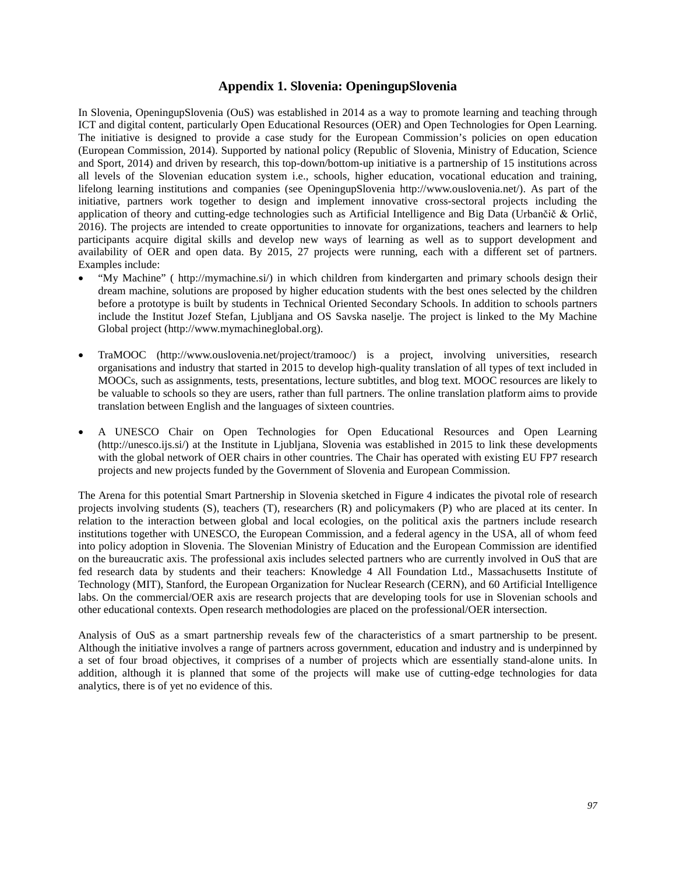### **Appendix 1. Slovenia: OpeningupSlovenia**

In Slovenia, OpeningupSlovenia (OuS) was established in 2014 as a way to promote learning and teaching through ICT and digital content, particularly Open Educational Resources (OER) and Open Technologies for Open Learning. The initiative is designed to provide a case study for the European Commission's policies on open education (European Commission, 2014). Supported by national policy (Republic of Slovenia, Ministry of Education, Science and Sport, 2014) and driven by research, this top-down/bottom-up initiative is a partnership of 15 institutions across all levels of the Slovenian education system i.e., schools, higher education, vocational education and training, lifelong learning institutions and companies (see [OpeningupSlovenia](http://www.ouslovenia.net/) http://www.ouslovenia.net/). As part of the initiative, partners work together to design and implement innovative cross-sectoral projects including the application of theory and cutting-edge technologies such as Artificial Intelligence and Big Data (Urbančič & Orlič, 2016). The projects are intended to create opportunities to innovate for organizations, teachers and learners to help participants acquire digital skills and develop new ways of learning as well as to support development and availability of OER and open data. By 2015, 27 projects were running, each with a different set of partners. Examples include:

- "My Machine" [\(](http://mymachine.si/) [http://mymachine.si/\)](http://mymachine.si/) in which children from kindergarten and primary schools design their dream machine, solutions are proposed by higher education students with the best ones selected by the children before a prototype is built by students in Technical Oriented Secondary Schools. In addition to schools partners include the Institut Jozef Stefan, Ljubljana and OS Savska naselje. The project is linked to the My Machine Global project [\(http://www.mymachineglobal.org\)](http://www.mymachineglobal.org/).
- TraMOOC [\(http://www.ouslovenia.net/project/tramooc/\)](http://www.ouslovenia.net/project/tramooc/) is a project, involving universities, research organisations and industry that started in 2015 to develop high-quality translation of all types of text included in MOOCs, such as assignments, tests, presentations, lecture subtitles, and blog text. MOOC resources are likely to be valuable to schools so they are users, rather than full partners. The online translation platform aims to provide translation between English and the languages of sixteen countries.
- A UNESCO Chair on Open Technologies for Open Educational Resources and Open Learning (http://unesco.ijs.si/) at the Institute in Ljubljana, Slovenia was established in 2015 to link these developments with the global network of OER chairs in other countries. The Chair has operated with existing EU FP7 research projects and new projects funded by the Government of Slovenia and European Commission.

The Arena for this potential Smart Partnership in Slovenia sketched in Figure 4 indicates the pivotal role of research projects involving students (S), teachers (T), researchers (R) and policymakers (P) who are placed at its center. In relation to the interaction between global and local ecologies, on the political axis the partners include research institutions together with UNESCO, the European Commission, and a federal agency in the USA, all of whom feed into policy adoption in Slovenia. The Slovenian Ministry of Education and the European Commission are identified on the bureaucratic axis. The professional axis includes selected partners who are currently involved in OuS that are fed research data by students and their teachers: Knowledge 4 All Foundation Ltd., Massachusetts Institute of Technology (MIT), Stanford, the European Organization for Nuclear Research (CERN), and 60 Artificial Intelligence labs. On the commercial/OER axis are research projects that are developing tools for use in Slovenian schools and other educational contexts. Open research methodologies are placed on the professional/OER intersection.

Analysis of OuS as a smart partnership reveals few of the characteristics of a smart partnership to be present. Although the initiative involves a range of partners across government, education and industry and is underpinned by a set of four broad objectives, it comprises of a number of projects which are essentially stand-alone units. In addition, although it is planned that some of the projects will make use of cutting-edge technologies for data analytics, there is of yet no evidence of this.